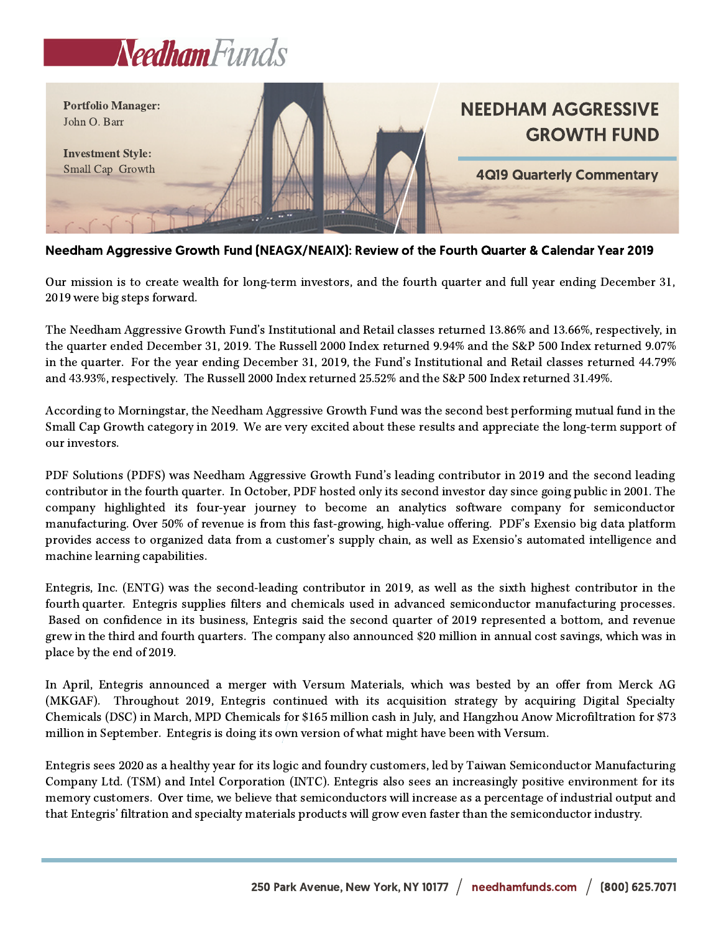



Needham Aggressive Growth Fund (NEAGX/NEAIX): Review of the Fourth Quarter & Calendar Year 2019

Our mission is to create wealth for long-term investors, and the fourth quarter and full year ending December 31, 2019 were big steps forward.

The Needham Aggressive Growth Fund's Institutional and Retail classes returned 13.86% and 13.66%, respectively, in the quarter ended December 31, 2019. The Russell 2000 Index returned 9.94% and the S&P 500 Index returned 9.07% in the quarter. For the year ending December 31, 2019, the Fund's Institutional and Retail classes returned 44.79% and 43.93%, respectively. The Russell 2000 Index returned 25.52% and the S&P 500 Index returned 31.49%.

According to Morningstar, the Needham Aggressive Growth Fund was the second best performing mutual fund in the Small Cap Growth category in 2019. We are very excited about these results and appreciate the long-term support of our investors.

PDF Solutions (PDFS) was Needham Aggressive Growth Fund's leading contributor in 2019 and the second leading contributor in the fourth quarter. In October, PDF hosted only its second investor day since going public in 2001. The company highlighted its four-year journey to become an analytics software company for semiconductor manufacturing. Over 50% of revenue is from this fast-growing, high-value offering. PDF's Exensio big data platform provides access to organized data from a customer's supply chain, as well as Exensio's automated intelligence and machine learning capabilities.

Entegris, Inc. (ENTG) was the second-leading contributor in 2019, as well as the sixth highest contributor in the fourth quarter. Entegris supplies filters and chemicals used in advanced semiconductor manufacturing processes. Based on confidence in its business, Entegris said the second quarter of 2019 represented a bottom, and revenue grew in the third and fourth quarters. The company also announced \$20 million in annual cost savings, which was in place by the end of 2019.

In April, Entegris announced a merger with Versum Materials, which was bested by an offer from Merck AG (MKGAF). Throughout 2019, Entegris continued with its acquisition strategy by acquiring Digital Specialty Chemicals (DSC) in March, MPD Chemicals for \$165 million cash in July, and Hangzhou Anow Microfiltration for \$73 million in September. Entegris is doing its own version of what might have been with Versum.

Entegris sees 2020 as a healthy year for its logic and foundry customers, led by Taiwan Semiconductor Manufacturing Company Ltd. (TSM) and Intel Corporation (INTC). Entegris also sees an increasingly positive environment for its memory customers. Over time, we believe that semiconductors will increase as a percentage of industrial output and that Entegris' filtration and specialty materials products will grow even faster than the semiconductor industry.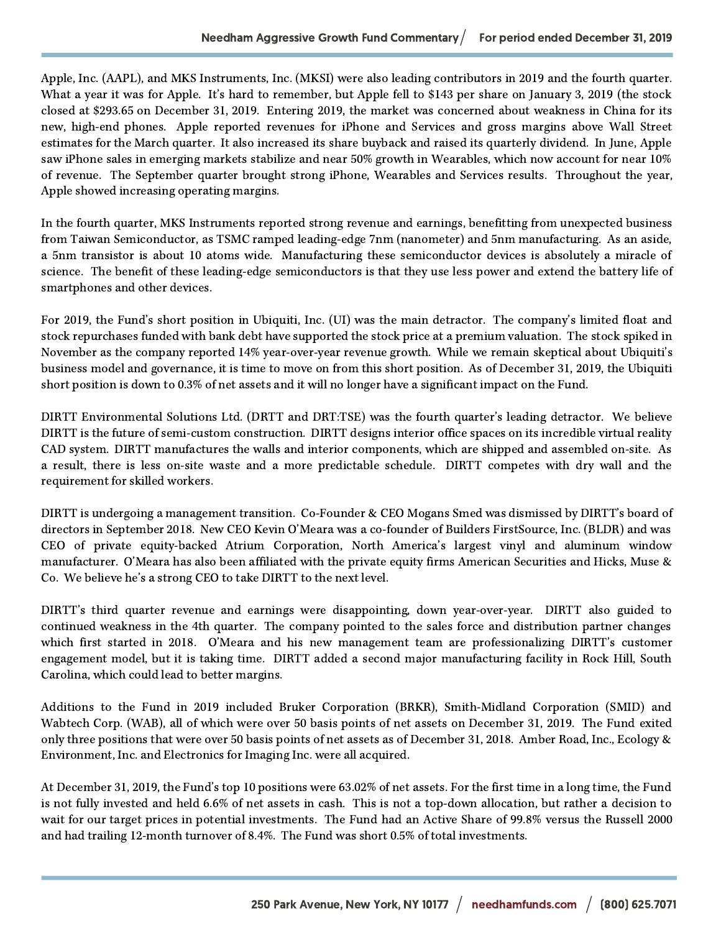Apple, Inc. (AAPL), and MKS Instruments, Inc. (MKSI) were also leading contributors in 2019 and the fourth quarter. What a year it was for Apple. It's hard to remember, but Apple fell to \$143 per share on January 3, 2019 (the stock closed at \$293.65 on December 31, 2019. Entering 2019, the market was concerned about weakness in China for its new, high-end phones. Apple reported revenues for iPhone and Services and gross margins above Wall Street estimates for the March quarter. It also increased its share buyback and raised its quarterly dividend. In June, Apple saw iPhone sales in emerging markets stabilize and near 50% growth in Wearables, which now account for near 10% of revenue. The September quarter brought strong iPhone, Wearables and Services results. Throughout the year, Apple showed increasing operating margins.

In the fourth quarter, MKS Instruments reported strong revenue and earnings, benefitting from unexpected business from Taiwan Semiconductor, as TSMC ramped leading-edge 7nm (nanometer) and 5nm manufacturing. As an aside, a 5nm transistor is about 10 atoms wide. Manufacturing these semiconductor devices is absolutely a miracle of science. The benefit of these leading-edge semiconductors is that they use less power and extend the battery life of smartphones and other devices.

For 2019, the Fund's short position in Ubiquiti, Inc. (UI) was the main detractor. The company's limited float and stock repurchases funded with bank debt have supported the stock price at a premium valuation. The stock spiked in November as the company reported 14% year-over-year revenue growth. While we remain skeptical about Ubiquiti's business model and governance, it is time to move on from this short position. As of December 31, 2019, the Ubiquiti short position is down to 0.3% of net assets and it will no longer have a significant impact on the Fund.

DIRTT Environmental Solutions Ltd. (DRTT and DRT:TSE) was the fourth quarter's leading detractor. We believe DIRTT is the future of semi-custom construction. DIRTT designs interior office spaces on its incredible virtual reality CAD system. DIRTT manufactures the walls and interior components, which are shipped and assembled on-site. As a result, there is less on-site waste and a more predictable schedule. DIRTT competes with dry wall and the requirement for skilled workers.

DIRTT is undergoing a management transition. Co-Founder & CEO Mogans Smed was dismissed by DIRTT's board of directors in September 2018. New CEO Kevin O'Meara was a co-founder of Builders FirstSource, Inc. (BLDR) and was CEO of private equity-backed Atrium Corporation, North America's largest vinyl and aluminum window manufacturer. O'Meara has also been affiliated with the private equity firms American Securities and Hicks, Muse & Co. We believe he's a strong CEO to take DIRTT to the next level.

DIRTT's third quarter revenue and earnings were disappointing, down year-over-year. DIRTT also guided to continued weakness in the 4th quarter. The company pointed to the sales force and distribution partner changes which first started in 2018. O'Meara and his new management team are professionalizing DIRTT's customer engagement model, but it is taking time. DIRTT added a second major manufacturing facility in Rock Hill, South Carolina, which could lead to better margins.

Additions to the Fund in 2019 included Bruker Corporation (BRKR), Smith-Midland Corporation (SMID) and Wabtech Corp. (WAB), all of which were over 50 basis points of net assets on December 31, 2019. The Fund exited only three positions that were over 50 basis points of net assets as of December 31, 2018. Amber Road, Inc., Ecology & Environment, Inc. and Electronics for Imaging Inc. were all acquired.

At December 31, 2019, the Fund's top 10 positions were 63.02% of net assets. For the first time in a long time, the Fund is not fully invested and held 6.6% of net assets in cash. This is not a top-down allocation, but rather a decision to wait for our target prices in potential investments. The Fund had an Active Share of 99.8% versus the Russell 2000 and had trailing 12-month turnover of 8.4%. The Fund was short 0.5% of total investments.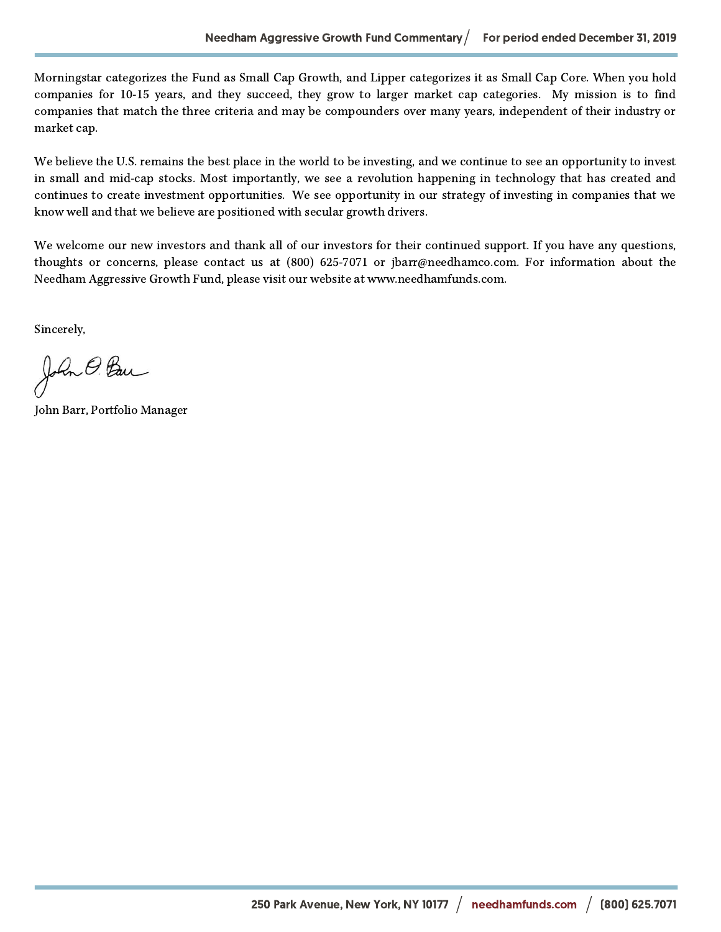Morningstar categorizes the Fund as Small Cap Growth, and Lipper categorizes it as Small Cap Core. When you hold companies for 10-15 years, and they succeed, they grow to larger market cap categories. My mission is to find companies that match the three criteria and may be compounders over many years, independent of their industry or market cap.

We believe the U.S. remains the best place in the world to be investing, and we continue to see an opportunity to invest in small and mid-cap stocks. Most importantly, we see a revolution happening in technology that has created and continues to create investment opportunities. We see opportunity in our strategy of investing in companies that we know well and that we believe are positioned with secular growth drivers.

We welcome our new investors and thank all of our investors for their continued support. If you have any questions, thoughts or concerns, please contact us at (800) 625-7071 or jbarr@needhamco.com. For information about the Needham Aggressive Growth Fund, please visit our website at www.needhamfunds.com.

Sincerely,

John O. Ban

John Barr, Portfolio Manager